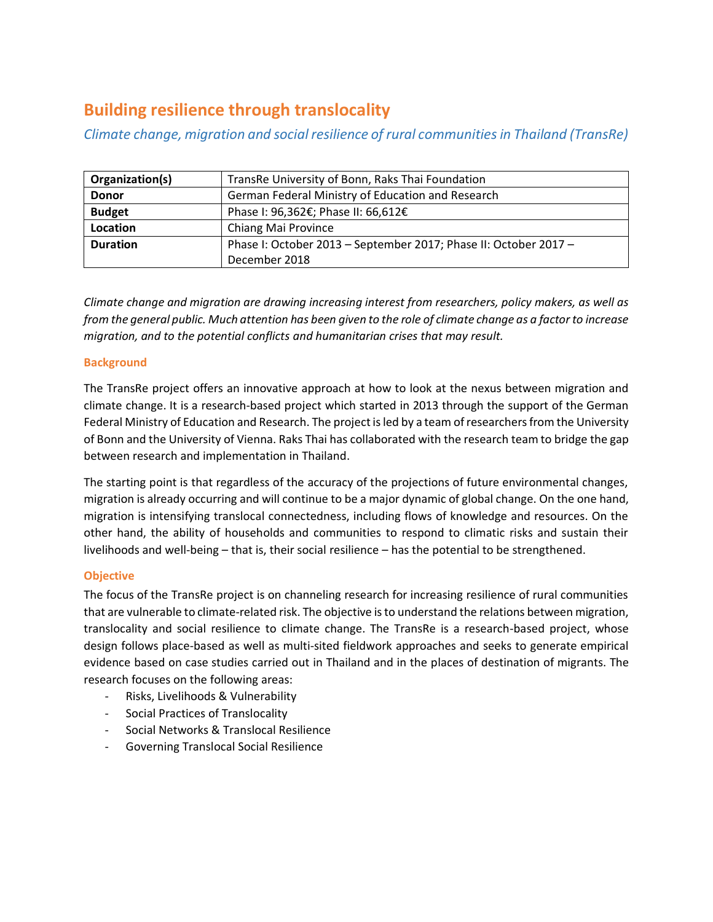# **Building resilience through translocality**

*Climate change, migration and social resilience of rural communities in Thailand (TransRe)*

| Organization(s) | TransRe University of Bonn, Raks Thai Foundation                 |
|-----------------|------------------------------------------------------------------|
| <b>Donor</b>    | German Federal Ministry of Education and Research                |
| <b>Budget</b>   | Phase I: 96,362€; Phase II: 66,612€                              |
| Location        | Chiang Mai Province                                              |
| <b>Duration</b> | Phase I: October 2013 - September 2017; Phase II: October 2017 - |
|                 | December 2018                                                    |

*Climate change and migration are drawing increasing interest from researchers, policy makers, as well as from the general public. Much attention has been given to the role of climate change as a factor to increase migration, and to the potential conflicts and humanitarian crises that may result.* 

## **Background**

The TransRe project offers an innovative approach at how to look at the nexus between migration and climate change. It is a research-based project which started in 2013 through the support of the German Federal Ministry of Education and Research. The project is led by a team of researchers from the University of Bonn and the University of Vienna. Raks Thai has collaborated with the research team to bridge the gap between research and implementation in Thailand.

The starting point is that regardless of the accuracy of the projections of future environmental changes, migration is already occurring and will continue to be a major dynamic of global change. On the one hand, migration is intensifying translocal connectedness, including flows of knowledge and resources. On the other hand, the ability of households and communities to respond to climatic risks and sustain their livelihoods and well-being – that is, their social resilience – has the potential to be strengthened.

## **Objective**

The focus of the TransRe project is on channeling research for increasing resilience of rural communities that are vulnerable to climate-related risk. The objective is to understand the relations between migration, translocality and social resilience to climate change. The TransRe is a research-based project, whose design follows place-based as well as multi-sited fieldwork approaches and seeks to generate empirical evidence based on case studies carried out in Thailand and in the places of destination of migrants. The research focuses on the following areas:

- Risks, Livelihoods & Vulnerability
- Social Practices of Translocality
- Social Networks & Translocal Resilience
- Governing Translocal Social Resilience